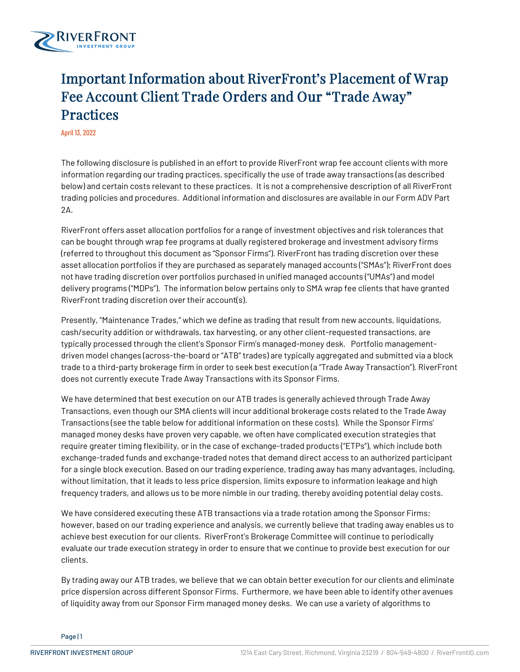

## Important Information about RiverFront's Placement of Wrap Fee Account Client Trade Orders and Our "Trade Away" **Practices**

April 13, 2022

The following disclosure is published in an effort to provide RiverFront wrap fee account clients with more information regarding our trading practices, specifically the use of trade away transactions (as described below) and certain costs relevant to these practices. It is not a comprehensive description of all RiverFront trading policies and procedures. Additional information and disclosures are available in our Form ADV Part 2A.

RiverFront offers asset allocation portfolios for a range of investment objectives and risk tolerances that can be bought through wrap fee programs at dually registered brokerage and investment advisory firms (referred to throughout this document as "Sponsor Firms"). RiverFront has trading discretion over these asset allocation portfolios if they are purchased as separately managed accounts ("SMAs"); RiverFront does not have trading discretion over portfolios purchased in unified managed accounts ("UMAs") and model delivery programs ("MDPs"). The information below pertains only to SMA wrap fee clients that have granted RiverFront trading discretion over their account(s).

Presently, "Maintenance Trades," which we define as trading that result from new accounts, liquidations, cash/security addition or withdrawals, tax harvesting, or any other client-requested transactions, are typically processed through the client's Sponsor Firm's managed-money desk. Portfolio managementdriven model changes (across-the-board or "ATB" trades) are typically aggregated and submitted via a block trade to a third-party brokerage firm in order to seek best execution (a "Trade Away Transaction"). RiverFront does not currently execute Trade Away Transactions with its Sponsor Firms.

We have determined that best execution on our ATB trades is generally achieved through Trade Away Transactions, even though our SMA clients will incur additional brokerage costs related to the Trade Away Transactions (see the table below for additional information on these costs). While the Sponsor Firms' managed money desks have proven very capable, we often have complicated execution strategies that require greater timing flexibility, or in the case of exchange-traded products ("ETPs"), which include both exchange-traded funds and exchange-traded notes that demand direct access to an authorized participant for a single block execution. Based on our trading experience, trading away has many advantages, including, without limitation, that it leads to less price dispersion, limits exposure to information leakage and high frequency traders, and allows us to be more nimble in our trading, thereby avoiding potential delay costs.

We have considered executing these ATB transactions via a trade rotation among the Sponsor Firms; however, based on our trading experience and analysis, we currently believe that trading away enables us to achieve best execution for our clients. RiverFront's Brokerage Committee will continue to periodically evaluate our trade execution strategy in order to ensure that we continue to provide best execution for our clients.

By trading away our ATB trades, we believe that we can obtain better execution for our clients and eliminate price dispersion across different Sponsor Firms. Furthermore, we have been able to identify other avenues of liquidity away from our Sponsor Firm managed money desks. We can use a variety of algorithms to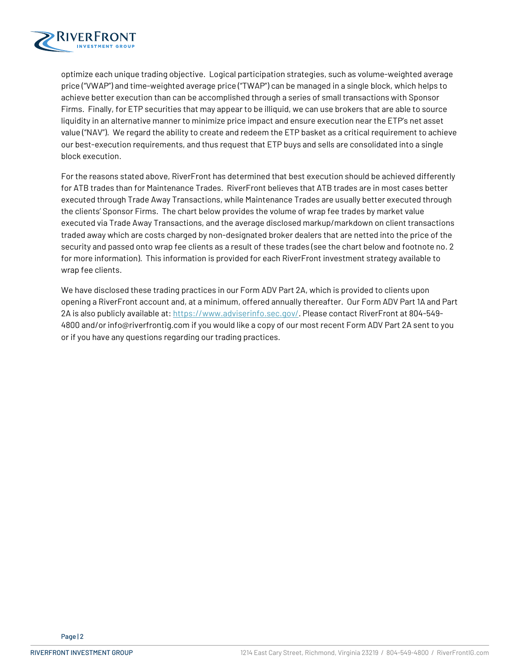

optimize each unique trading objective. Logical participation strategies, such as volume-weighted average price ("VWAP") and time-weighted average price ("TWAP") can be managed in a single block, which helps to achieve better execution than can be accomplished through a series of small transactions with Sponsor Firms. Finally, for ETP securities that may appear to be illiquid, we can use brokers that are able to source liquidity in an alternative manner to minimize price impact and ensure execution near the ETP's net asset value ("NAV"). We regard the ability to create and redeem the ETP basket as a critical requirement to achieve our best-execution requirements, and thus request that ETP buys and sells are consolidated into a single block execution.

For the reasons stated above, RiverFront has determined that best execution should be achieved differently for ATB trades than for Maintenance Trades. RiverFront believes that ATB trades are in most cases better executed through Trade Away Transactions, while Maintenance Trades are usually better executed through the clients' Sponsor Firms. The chart below provides the volume of wrap fee trades by market value executed via Trade Away Transactions, and the average disclosed markup/markdown on client transactions traded away which are costs charged by non-designated broker dealers that are netted into the price of the security and passed onto wrap fee clients as a result of these trades (see the chart below and footnote no. 2 for more information). This information is provided for each RiverFront investment strategy available to wrap fee clients.

We have disclosed these trading practices in our Form ADV Part 2A, which is provided to clients upon opening a RiverFront account and, at a minimum, offered annually thereafter. Our Form ADV Part 1A and Part 2A is also publicly available at: [https://www.adviserinfo.sec.gov/.](https://www.adviserinfo.sec.gov/) Please contact RiverFront at 804-549- 4800 and/or info@riverfrontig.com if you would like a copy of our most recent Form ADV Part 2A sent to you or if you have any questions regarding our trading practices.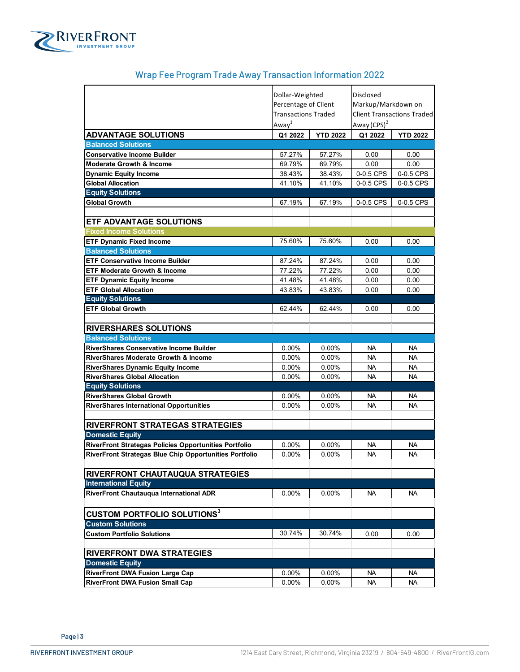

|                                                        | Dollar-Weighted<br>Percentage of Client<br><b>Transactions Traded</b> |                   | Disclosed<br>Markup/Markdown on<br><b>Client Transactions Traded</b> |                  |
|--------------------------------------------------------|-----------------------------------------------------------------------|-------------------|----------------------------------------------------------------------|------------------|
|                                                        |                                                                       |                   |                                                                      |                  |
|                                                        |                                                                       |                   |                                                                      |                  |
|                                                        |                                                                       |                   |                                                                      |                  |
|                                                        | Away <sup>1</sup>                                                     |                   | Away (CPS) <sup>2</sup>                                              |                  |
| <b>ADVANTAGE SOLUTIONS</b>                             | Q1 2022                                                               | <b>YTD 2022</b>   | Q1 2022                                                              | <b>YTD 2022</b>  |
| <b>Balanced Solutions</b>                              |                                                                       |                   |                                                                      |                  |
| <b>Conservative Income Builder</b>                     | 57.27%                                                                | 57.27%            | 0.00                                                                 | 0.00             |
| <b>Moderate Growth &amp; Income</b>                    | 69.79%                                                                | 69.79%            | 0.00                                                                 | 0.00             |
| <b>Dynamic Equity Income</b>                           | 38.43%                                                                | 38.43%            | 0-0.5 CPS                                                            | 0-0.5 CPS        |
| <b>Global Allocation</b>                               | 41.10%                                                                | 41.10%            | 0-0.5 CPS                                                            | 0-0.5 CPS        |
| <b>Equity Solutions</b>                                |                                                                       |                   |                                                                      |                  |
| <b>Global Growth</b>                                   | 67.19%                                                                | 67.19%            | 0-0.5 CPS                                                            | 0-0.5 CPS        |
|                                                        |                                                                       |                   |                                                                      |                  |
| <b>ETF ADVANTAGE SOLUTIONS</b>                         |                                                                       |                   |                                                                      |                  |
| <b>Fixed Income Solutions</b>                          |                                                                       |                   |                                                                      |                  |
| <b>ETF Dynamic Fixed Income</b>                        | 75.60%                                                                | 75.60%            | 0.00                                                                 | 0.00             |
| <b>Balanced Solutions</b>                              |                                                                       |                   |                                                                      |                  |
| <b>ETF Conservative Income Builder</b>                 | 87.24%                                                                | 87.24%            | 0.00                                                                 | 0.00             |
| <b>ETF Moderate Growth &amp; Income</b>                | 77.22%                                                                | 77.22%            | 0.00                                                                 | 0.00             |
| <b>ETF Dynamic Equity Income</b>                       | 41.48%                                                                | 41.48%            | 0.00                                                                 | 0.00             |
| <b>ETF Global Allocation</b>                           | 43.83%                                                                | 43.83%            | 0.00                                                                 | 0.00             |
| <b>Equity Solutions</b>                                |                                                                       |                   |                                                                      |                  |
| <b>ETF Global Growth</b>                               | 62.44%                                                                | 62.44%            | 0.00                                                                 | 0.00             |
|                                                        |                                                                       |                   |                                                                      |                  |
| <b>RIVERSHARES SOLUTIONS</b>                           |                                                                       |                   |                                                                      |                  |
| <b>Balanced Solutions</b>                              |                                                                       |                   |                                                                      |                  |
| <b>RiverShares Conservative Income Builder</b>         | 0.00%                                                                 | $0.00\%$          | NA                                                                   | <b>NA</b>        |
| <b>RiverShares Moderate Growth &amp; Income</b>        | $0.00\%$                                                              | 0.00%             | <b>NA</b>                                                            | <b>NA</b>        |
| <b>RiverShares Dynamic Equity Income</b>               | $0.00\%$                                                              | $0.00\%$          | <b>NA</b>                                                            | NA               |
| <b>RiverShares Global Allocation</b>                   | $0.00\%$                                                              | 0.00%             | <b>NA</b>                                                            | <b>NA</b>        |
| <b>Equity Solutions</b>                                |                                                                       |                   |                                                                      |                  |
| <b>RiverShares Global Growth</b>                       | $0.00\%$                                                              | $0.00\%$          | NA.                                                                  | NA               |
| <b>RiverShares International Opportunities</b>         | $0.00\%$                                                              | $0.00\%$          | <b>NA</b>                                                            | <b>NA</b>        |
|                                                        |                                                                       |                   |                                                                      |                  |
| <b>RIVERFRONT STRATEGAS STRATEGIES</b>                 |                                                                       |                   |                                                                      |                  |
| <b>Domestic Equity</b>                                 |                                                                       |                   |                                                                      |                  |
| RiverFront Strategas Policies Opportunities Portfolio  |                                                                       |                   |                                                                      |                  |
|                                                        | $0.00\%$<br>0.00%                                                     | $0.00\%$<br>0.00% | NA.<br><b>NA</b>                                                     | NA.<br><b>NA</b> |
| RiverFront Strategas Blue Chip Opportunities Portfolio |                                                                       |                   |                                                                      |                  |
| <b>RIVERFRONT CHAUTAUQUA STRATEGIES</b>                |                                                                       |                   |                                                                      |                  |
| <b>International Equity</b>                            |                                                                       |                   |                                                                      |                  |
|                                                        |                                                                       |                   |                                                                      |                  |
| RiverFront Chautauqua International ADR                | $0.00\%$                                                              | $0.00\%$          | NA.                                                                  | NA.              |
|                                                        |                                                                       |                   |                                                                      |                  |
| <b>CUSTOM PORTFOLIO SOLUTIONS3</b>                     |                                                                       |                   |                                                                      |                  |
| <b>Custom Solutions</b>                                |                                                                       |                   |                                                                      |                  |
| <b>Custom Portfolio Solutions</b>                      | 30.74%                                                                | 30.74%            | 0.00                                                                 | 0.00             |
|                                                        |                                                                       |                   |                                                                      |                  |
| <b>RIVERFRONT DWA STRATEGIES</b>                       |                                                                       |                   |                                                                      |                  |
| <b>Domestic Equity</b>                                 |                                                                       |                   |                                                                      |                  |
| <b>RiverFront DWA Fusion Large Cap</b>                 | 0.00%                                                                 | 0.00%             | NA                                                                   | NA               |
| <b>RiverFront DWA Fusion Small Cap</b>                 | $0.00\%$                                                              | $0.00\%$          | NA.                                                                  | NA.              |

## Wrap Fee Program Trade Away Transaction Information 2022